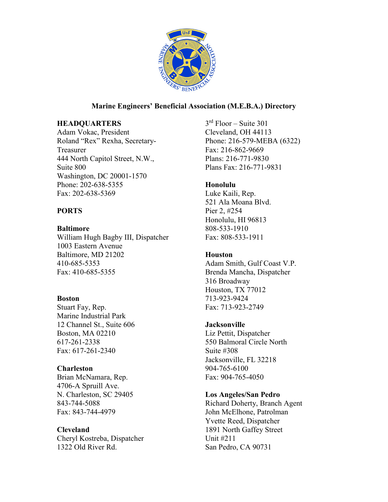

# **Marine Engineers' Beneficial Association (M.E.B.A.) Directory**

# **HEADQUARTERS**

Adam Vokac, President Roland "Rex" Rexha, Secretary-Treasurer 444 North Capitol Street, N.W., Suite 800 Washington, DC 20001-1570 Phone: 202-638-5355 Fax: 202-638-5369

# **PORTS**

# **Baltimore**

William Hugh Bagby III, Dispatcher 1003 Eastern Avenue Baltimore, MD 21202 410-685-5353 Fax: 410-685-5355

# **Boston**

Stuart Fay, Rep. Marine Industrial Park 12 Channel St., Suite 606 Boston, MA 02210 617-261-2338 Fax: 617-261-2340

# **Charleston**

Brian McNamara, Rep. 4706-A Spruill Ave. N. Charleston, SC 29405 843-744-5088 Fax: 843-744-4979

# **Cleveland**

Cheryl Kostreba, Dispatcher 1322 Old River Rd.

 $3<sup>rd</sup>$  Floor – Suite 301 Cleveland, OH 44113 Phone: 216-579-MEBA (6322) Fax: 216-862-9669 Plans: 216-771-9830 Plans Fax: 216-771-9831

# **Honolulu**

Luke Kaili, Rep. 521 Ala Moana Blvd. Pier 2, #254 Honolulu, HI 96813 808-533-1910 Fax: 808-533-1911

# **Houston**

Adam Smith, Gulf Coast V.P. Brenda Mancha, Dispatcher 316 Broadway Houston, TX 77012 713-923-9424 Fax: 713-923-2749

# **Jacksonville**

Liz Pettit, Dispatcher 550 Balmoral Circle North Suite #308 Jacksonville, FL 32218 904-765-6100 Fax: 904-765-4050

# **Los Angeles/San Pedro**

Richard Doherty, Branch Agent John McElhone, Patrolman Yvette Reed, Dispatcher 1891 North Gaffey Street Unit #211 San Pedro, CA 90731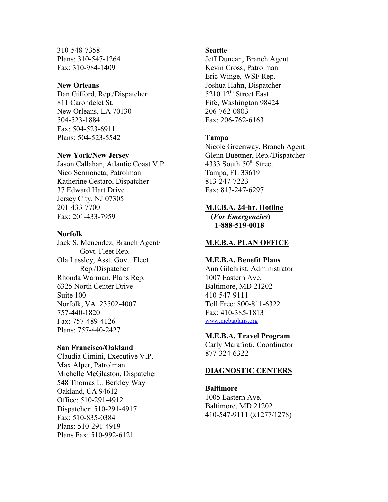310-548-7358 Plans: 310-547-1264 Fax: 310-984-1409

## **New Orleans**

Dan Gifford, Rep./Dispatcher 811 Carondelet St. New Orleans, LA 70130 504-523-1884 Fax: 504-523-6911 Plans: 504-523-5542

#### **New York/New Jersey**

Jason Callahan, Atlantic Coast V.P. Nico Sermoneta, Patrolman Katherine Cestaro, Dispatcher 37 Edward Hart Drive Jersey City, NJ 07305 201-433-7700 Fax: 201-433-7959

## **Norfolk**

Jack S. Menendez, Branch Agent/ Govt. Fleet Rep. Ola Lassley, Asst. Govt. Fleet Rep./Dispatcher Rhonda Warman, Plans Rep. 6325 North Center Drive Suite 100 Norfolk, VA 23502-4007 757-440-1820 Fax: 757-489-4126 Plans: 757-440-2427

#### **San Francisco/Oakland**

Claudia Cimini, Executive V.P. Max Alper, Patrolman Michelle McGlaston, Dispatcher 548 Thomas L. Berkley Way Oakland, CA 94612 Office: 510-291-4912 Dispatcher: 510-291-4917 Fax: 510-835-0384 Plans: 510-291-4919 Plans Fax: 510-992-6121

## **Seattle**

Jeff Duncan, Branch Agent Kevin Cross, Patrolman Eric Winge, WSF Rep. Joshua Hahn, Dispatcher 5210 12<sup>th</sup> Street East Fife, Washington 98424 206-762-0803 Fax: 206-762-6163

## **Tampa**

Nicole Greenway, Branch Agent Glenn Buettner, Rep./Dispatcher 4333 South 50<sup>th</sup> Street Tampa, FL 33619 813-247-7223 Fax: 813-247-6297

## **M.E.B.A. 24-hr. Hotline**

 **(***For Emergencies***) 1-888-519-0018** 

#### **M.E.B.A. PLAN OFFICE**

### **M.E.B.A. Benefit Plans**

Ann Gilchrist, Administrator 1007 Eastern Ave. Baltimore, MD 21202 410-547-9111 Toll Free: 800-811-6322 Fax: 410-385-1813 [www.mebaplans.org](http://www.mebaplans.org/)

#### **M.E.B.A. Travel Program**

Carly Marafioti, Coordinator 877-324-6322

## **DIAGNOSTIC CENTERS**

**Baltimore**  1005 Eastern Ave. Baltimore, MD 21202 410-547-9111 (x1277/1278)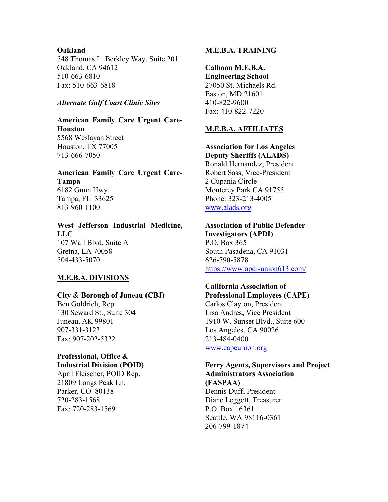## **Oakland**

548 Thomas L. Berkley Way, Suite 201 Oakland, CA 94612 510-663-6810 Fax: 510-663-6818

## *Alternate Gulf Coast Clinic Sites*

**American Family Care Urgent Care-Houston**  5568 Weslayan Street Houston, TX 77005

713-666-7050

# **American Family Care Urgent Care-Tampa** 6182 Gunn Hwy Tampa, FL 33625 813-960-1100

**West Jefferson Industrial Medicine, LLC** 107 Wall Blvd, Suite A Gretna, LA 70058 504-433-5070

# **M.E.B.A. DIVISIONS**

## **City & Borough of Juneau (CBJ)**

Ben Goldrich, Rep. 130 Seward St., Suite 304 Juneau, AK 99801 907-331-3123 Fax: 907-202-5322

# **Professional, Office & Industrial Division (POID)**

April Fleischer, POID Rep. 21809 Longs Peak Ln. Parker, CO 80138 720-283-1568 Fax: 720-283-1569

## **M.E.B.A. TRAINING**

**Calhoon M.E.B.A. Engineering School** 27050 St. Michaels Rd. Easton, MD 21601 410-822-9600 Fax: 410-822-7220

## **M.E.B.A. AFFILIATES**

**Association for Los Angeles**

**Deputy Sheriffs (ALADS)** Ronald Hernandez, President Robert Sass, Vice-President 2 Cupania Circle Monterey Park CA 91755 Phone: 323-213-4005 [www.alads.org](http://www.alads.org/)

#### **Association of Public Defender Investigators (APDI)**

P.O. Box 365 South Pasadena, CA 91031 626-790-5878 <https://www.apdi-union613.com/>

# **California Association of**

**Professional Employees (CAPE)**  Carlos Clayton, President Lisa Andres, Vice President 1910 W. Sunset Blvd., Suite 600 Los Angeles, CA 90026 213-484-0400 [www.capeunion.org](http://www.capeunion.org/)

### **Ferry Agents, Supervisors and Project Administrators Association (FASPAA)**

Dennis Duff, President Diane Leggett, Treasurer P.O. Box 16361 Seattle, WA 98116-0361 206-799-1874